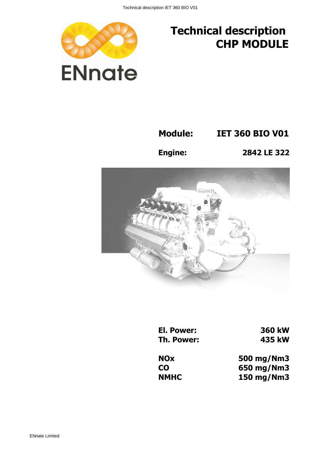

## Technical description CHP MODULE

Module: IET 360 BIO V01

Engine: 2842 LE 322



El. Power: 360 kW Th. Power: 435 kW

NOx 500 mg/Nm3 CO 650 mg/Nm3 NMHC 150 mg/Nm3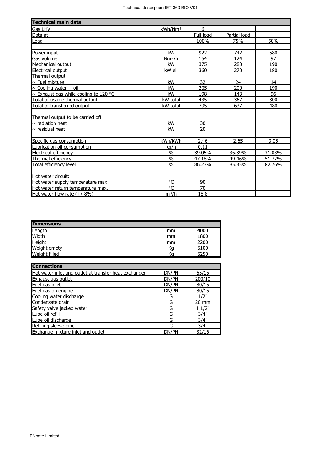| <b>Technical main data</b>            |                     |                 |              |        |
|---------------------------------------|---------------------|-----------------|--------------|--------|
| Gas LHV:                              | kWh/Nm <sup>3</sup> | 6               |              |        |
| Data at                               |                     | Full load       | Partial load |        |
| Load                                  |                     | 100%            | 75%          | 50%    |
|                                       |                     |                 |              |        |
| Power input                           | kW                  | 922             | 742          | 580    |
| Gas volume                            | Nm <sup>3</sup> /h  | 154             | 124          | 97     |
| Mechanical output                     | kW                  | 375             | 280          | 190    |
| Electrical output                     | kW el.              | 360             | 270          | 180    |
| Thermal output                        |                     |                 |              |        |
| $\sim$ Fuel mixture                   | kW                  | 32              | 24           | 14     |
| $\sim$ Cooling water + oil            | kW                  | 205             | 200          | 190    |
| ~ Exhaust gas while cooling to 120 °C | kW                  | 198             | 143          | 96     |
| Total of usable thermal output        | kW total            | 435             | 367          | 300    |
| Total of transferred output           | kW total            | 795             | 637          | 480    |
|                                       |                     |                 |              |        |
| Thermal output to be carried off      |                     |                 |              |        |
| $\sim$ radiation heat                 | kW                  | 30              |              |        |
| $\sim$ residual heat                  | kW                  | 20              |              |        |
|                                       |                     |                 |              |        |
| Specific gas consumption              | kWh/kWh             | 2.46            | 2.65         | 3.05   |
| Lubrication oil consumption           | kg/h                | 0.11            |              |        |
| Electrical efficiency                 | $\%$                | 39.05%          | 36.39%       | 31.03% |
| Thermal efficiency                    | $\%$                | 47.18%          | 49.46%       | 51.72% |
| Total efficiency level                | $\frac{0}{0}$       | 86.23%          | 85.85%       | 82.76% |
|                                       |                     |                 |              |        |
| Hot water circuit:                    |                     |                 |              |        |
| Hot water supply temperature max.     | °C                  | 90              |              |        |
| Hot water return temperature max.     | °C                  | $\overline{70}$ |              |        |
| Hot water flow rate $(+/-8%)$         | $m^3/h$             | 18.8            |              |        |

| <b>Dimensions</b> |    |      |
|-------------------|----|------|
| Length            | mm | 4000 |
| Width             | mm | 1800 |
| Height            | mm | 2200 |
| Weight empty      | Ka | 5100 |
| Weight filled     | Κa | 5250 |

| <b>Connections</b>                                    |       |                 |
|-------------------------------------------------------|-------|-----------------|
| Hot water inlet and outlet at transfer heat exchanger | DN/PN | 65/16           |
| Exhaust gas outlet                                    | DN/PN | 200/10          |
| Fuel gas inlet                                        | DN/PN | 80/16           |
| Fuel gas on engine                                    | DN/PN | 80/16           |
| Cooling water discharge                               | G     | 1/2"            |
| Condensate drain                                      | G     | $20 \text{ mm}$ |
| Safety valve jacked water                             | G     | 11/2"           |
| Lube oil refill                                       | G     | 3/4"            |
| Lube oil discharge                                    | G     | 3/4"            |
| Refilling sleeve pipe                                 | G     | 3/4"            |
| Exchange mixture inlet and outlet                     | DN/PN | 32/16           |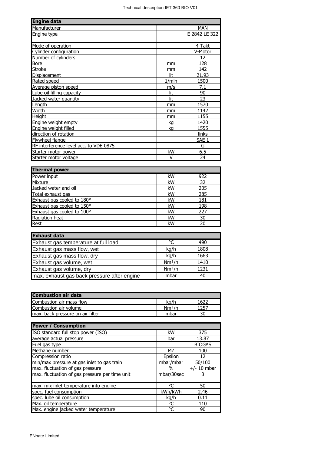| <b>Engine data</b>                     |       |               |
|----------------------------------------|-------|---------------|
| Manufacturer                           |       | <b>MAN</b>    |
| Engine type                            |       | E 2842 LE 322 |
|                                        |       |               |
| Mode of operation                      |       | 4-Takt        |
| Cylinder configuration                 |       | V-Motor       |
| Number of cylinders                    |       | 12            |
| <b>Bore</b>                            | mm    | 128           |
| <b>Stroke</b>                          | mm    | 142           |
| Displacement                           | lit   | 21.93         |
| Rated speed                            | 1/min | 1500          |
| Average piston speed                   | m/s   | 7.1           |
| Lube oil filling capacity              | lit   | 90            |
| Jacked water quantity                  | lit   | 23            |
| Length                                 | mm    | 1570          |
| Width                                  | mm    | 1142          |
| <b>Height</b>                          | mm    | 1155          |
| Engine weight empty                    | kg    | 1420          |
| Engine weight filled                   | kg    | 1555          |
| direction of rotation                  |       | links         |
| Flywheel flange                        |       | SAE 1         |
| RF interference level acc. to VDE 0875 |       | G             |
| Starter motor power                    | kW    | 6.5           |
| Starter motor voltage                  | ٧     | 24            |

| <b>Thermal power</b>       |    |     |  |
|----------------------------|----|-----|--|
| Power input                | kW | 922 |  |
| Mixture                    | kW | 32  |  |
| Jacked water and oil       | kW | 205 |  |
| Total exhaust gas          | kW | 285 |  |
| Exhaust gas cooled to 180° | kW | 181 |  |
| Exhaust gas cooled to 150° | kW | 198 |  |
| Exhaust gas cooled to 100° | kW | 227 |  |
| Radiation heat             | kW | 30  |  |
| <b>Rest</b>                | kW | 20  |  |

| <b>Exhaust data</b>                         |                    |      |  |
|---------------------------------------------|--------------------|------|--|
| Exhaust gas temperature at full load        | °C                 | 490  |  |
| Exhaust gas mass flow, wet                  | kg/h               | 1808 |  |
| Exhaust gas mass flow, dry                  | kg/h               | 1663 |  |
| Exhaust gas volume, wet                     | Nm <sup>3</sup> /h | 1410 |  |
| Exhaust gas volume, dry                     | Nm <sup>3</sup> /h | 1231 |  |
| max. exhaust gas back pressure after engine | mbar               | 40   |  |

| <b>Combustion air data</b>       |                    |      |
|----------------------------------|--------------------|------|
| Combustion air mass flow         | ka/h               | 1622 |
| Combustion air volume            | Nm <sup>3</sup> /h | 1257 |
| max. back pressure on air filter | mbar               |      |
|                                  |                    |      |

| <b>Power / Consumption</b>                     |            |               |
|------------------------------------------------|------------|---------------|
| ISO standard full stop power (ISO)             | kW         | 375           |
| average actual pressure                        | bar        | 13.87         |
| Fuel gas type                                  |            | <b>BIOGAS</b> |
| Methane number                                 | MZ         | 100           |
| Compression ratio                              | Epsilon    | 12            |
| min/max pressure at gas inlet to gas train     | mbar/mbar  | 50/100        |
| max. fluctuation of gas pressure               | $\%$       | $+/- 10$ mbar |
| max. fluctuation of gas pressure per time unit | mbar/30sec |               |
|                                                |            |               |
| max. mix inlet temperature into engine         | °C         | 50            |
| spec. fuel consumption                         | kWh/kWh    | 2.46          |
| spec. lube oil consumption                     | kg/h       | 0.11          |
| Max. oil temperature                           | °C         | 110           |
| Max. engine jacked water temperature           | °C         | 90            |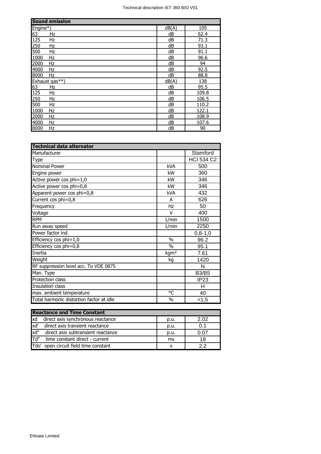| <b>Sound emission</b>  |       |       |
|------------------------|-------|-------|
| $Engine*)$             | dB(A) | 105   |
| $\frac{63}{125}$<br>Hz | dB    | 62.4  |
| Hz                     | dB    | 71.3  |
| 250<br>Hz              | dB    | 93.1  |
| 500<br>Hz              | dB    | 91.1  |
| 1000<br>Hz             | dB    | 96.6  |
| 2000<br>Hz             | dB    | 94    |
| 4000<br>Hz             | dB    | 92.5  |
| 8000<br>Hz             | dB    | 88.8  |
| Exhaust gas**)         | dB(A) | 138   |
| 63<br>Hz               | dB    | 95.5  |
| 125<br>Hz              | dB    | 109.8 |
| $\overline{250}$<br>Hz | dB    | 106.5 |
| 500<br>Hz              | dB    | 110.2 |
| 1000<br>Hz             | dB    | 122.1 |
| 2000<br>Hz             | dB    | 108.9 |
| 4000<br>Hz             | dB    | 107.6 |
| 8000<br>Hz             | dB    | 90    |

| <b>Technical data alternator</b>         |                  |                   |
|------------------------------------------|------------------|-------------------|
| Manufacturer                             |                  | Stamford          |
| <b>Type</b>                              |                  | <b>HCI 534 C2</b> |
| Nominal Power                            | <b>kVA</b>       | 500               |
| Engine power                             | kW               | 360               |
| Active power cos phi=1,0                 | kW               | 346               |
| Active power cos phi=0,8                 | kW               | 346               |
| Apparent power cos phi=0,8               | <b>kVA</b>       | 432               |
| Current cos phi=0,8                      | A                | 626               |
| Frequency                                | Hz               | 50                |
| Voltage                                  | v                | 400               |
| <b>RPM</b>                               | 1/min            | 1500              |
| Run away speed                           | 1/min            | 2250              |
| Power factor ind.                        |                  | $0, 8 - 1, 0$     |
| Efficiency cos phi=1,0                   | $\frac{0}{0}$    | 96.2              |
| Efficiency cos phi=0,8                   | $\frac{0}{0}$    | 95.1              |
| Inertia                                  | kgm <sup>2</sup> | 7.61              |
| Weight                                   | kg               | 1420              |
| RF suppression level acc. To VDE 0875    |                  | N                 |
| Man. Type                                |                  | <b>B3/B5</b>      |
| Protection class                         |                  | IP <sub>23</sub>  |
| Insulation class                         |                  | н                 |
| max. ambient temperature                 | °C               | 40                |
| Total harmonic distortion factor at idle | $\frac{0}{0}$    | 1,5               |

| <b>Reactance and Time Constant</b> |                                    |      |      |
|------------------------------------|------------------------------------|------|------|
| <b>xd</b>                          | direct axis synchronous reactance  | p.u. | 2.02 |
| xd'                                | direct axis transient reactance    | p.u. | 0.1  |
| xd"                                | direct axis subtransient reactance | p.u. | 0.07 |
| lTd"                               | time constant direct - current     | ms   | 18   |
| lTdo'                              | open circuit field time constant   |      | っっ   |